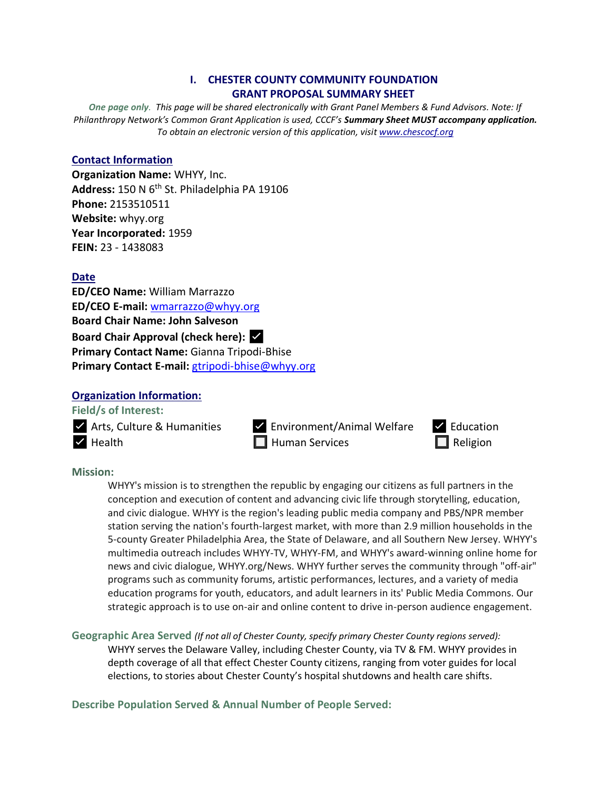## **I. CHESTER COUNTY COMMUNITY FOUNDATION GRANT PROPOSAL SUMMARY SHEET**

*One page only. This page will be shared electronically with Grant Panel Members & Fund Advisors. Note: If Philanthropy Network's Common Grant Application is used, CCCF's Summary Sheet MUST accompany application. To obtain an electronic version of this application, visit [www.chescocf.org](http://www.chescocf.org/)*

#### **Contact Information**

**Organization Name:** WHYY, Inc. **Address:** 150 N 6th St. Philadelphia PA 19106 **Phone:** 2153510511 **Website:** whyy.org **Year Incorporated:** 1959 **FEIN:** 23 - 1438083

#### **Date**

**ED/CEO Name:** William Marrazzo **ED/CEO E-mail:** [wmarrazzo@whyy.org](mailto:wmarrazzo@whyy.org) **Board Chair Name: John Salveson Board Chair Approval (check here):** ✅ **Primary Contact Name:** Gianna Tripodi-Bhise **Primary Contact E-mail:** [gtripodi-bhise@whyy.org](mailto:gtripodi-bhise@whyy.org)

#### **Organization Information:**

**Field/s of Interest:** 

✅ Arts, Culture & Humanities ✅ Environment/Animal Welfare ✅ Education



**Mission:** 

WHYY's mission is to strengthen the republic by engaging our citizens as full partners in the conception and execution of content and advancing civic life through storytelling, education, and civic dialogue. WHYY is the region's leading public media company and PBS/NPR member station serving the nation's fourth-largest market, with more than 2.9 million households in the 5-county Greater Philadelphia Area, the State of Delaware, and all Southern New Jersey. WHYY's multimedia outreach includes WHYY-TV, WHYY-FM, and WHYY's award-winning online home for news and civic dialogue, WHYY.org/News. WHYY further serves the community through "off-air" programs such as community forums, artistic performances, lectures, and a variety of media education programs for youth, educators, and adult learners in its' Public Media Commons. Our strategic approach is to use on-air and online content to drive in-person audience engagement.

**Geographic Area Served** *(If not all of Chester County, specify primary Chester County regions served):* WHYY serves the Delaware Valley, including Chester County, via TV & FM. WHYY provides in depth coverage of all that effect Chester County citizens, ranging from voter guides for local elections, to stories about Chester County's hospital shutdowns and health care shifts.

**Describe Population Served & Annual Number of People Served:**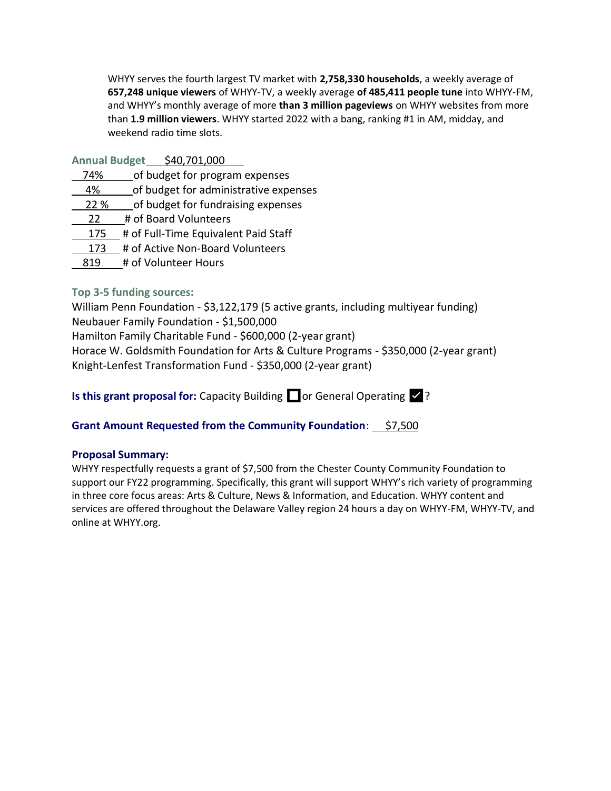WHYY serves the fourth largest TV market with **2,758,330 households**, a weekly average of **657,248 unique viewers** of WHYY-TV, a weekly average **of 485,411 people tune** into WHYY-FM, and WHYY's monthly average of more **than 3 million pageviews** on WHYY websites from more than **1.9 million viewers**. WHYY started 2022 with a bang, ranking #1 in AM, midday, and weekend radio time slots.

| \$40,701,000<br><b>Annual Budget</b> |
|--------------------------------------|
|--------------------------------------|

- 74% of budget for program expenses
- 4% of budget for administrative expenses
- 22 % of budget for fundraising expenses
- 22 # of Board Volunteers
- 175 # of Full-Time Equivalent Paid Staff
- 173 # of Active Non-Board Volunteers
- 819 # of Volunteer Hours

## **Top 3-5 funding sources:**

William Penn Foundation - \$3,122,179 (5 active grants, including multiyear funding) Neubauer Family Foundation - \$1,500,000 Hamilton Family Charitable Fund - \$600,000 (2-year grant) Horace W. Goldsmith Foundation for Arts & Culture Programs - \$350,000 (2-year grant) Knight-Lenfest Transformation Fund - \$350,000 (2-year grant)

**Is this grant proposal for:** Capacity Building  $\Box$  or General Operating  $\Box$ ?

## **Grant Amount Requested from the Community Foundation**: \$7,500

## **Proposal Summary:**

WHYY respectfully requests a grant of \$7,500 from the Chester County Community Foundation to support our FY22 programming. Specifically, this grant will support WHYY's rich variety of programming in three core focus areas: Arts & Culture, News & Information, and Education. WHYY content and services are offered throughout the Delaware Valley region 24 hours a day on WHYY-FM, WHYY-TV, and online at WHYY.org.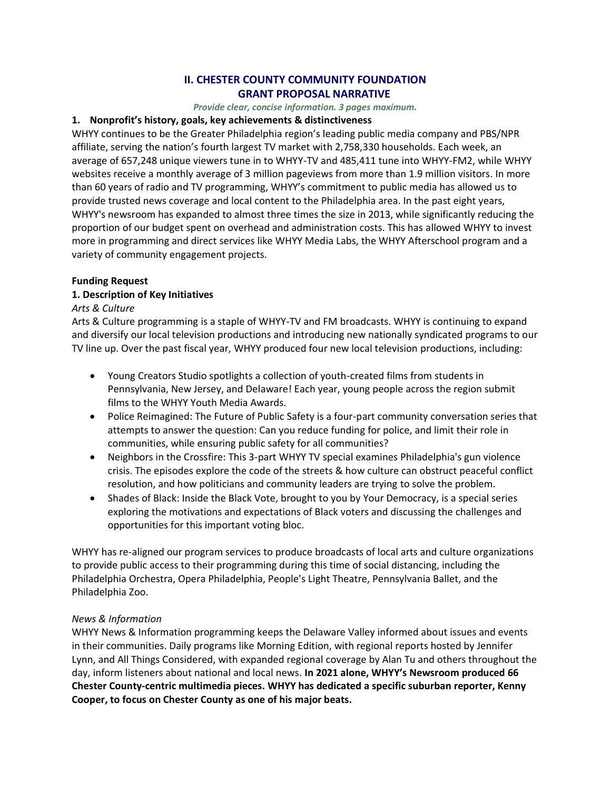## **II. CHESTER COUNTY COMMUNITY FOUNDATION GRANT PROPOSAL NARRATIVE**

*Provide clear, concise information. 3 pages maximum.*

## **1. Nonprofit's history, goals, key achievements & distinctiveness**

WHYY continues to be the Greater Philadelphia region's leading public media company and PBS/NPR affiliate, serving the nation's fourth largest TV market with 2,758,330 households. Each week, an average of 657,248 unique viewers tune in to WHYY-TV and 485,411 tune into WHYY-FM2, while WHYY websites receive a monthly average of 3 million pageviews from more than 1.9 million visitors. In more than 60 years of radio and TV programming, WHYY's commitment to public media has allowed us to provide trusted news coverage and local content to the Philadelphia area. In the past eight years, WHYY's newsroom has expanded to almost three times the size in 2013, while significantly reducing the proportion of our budget spent on overhead and administration costs. This has allowed WHYY to invest more in programming and direct services like WHYY Media Labs, the WHYY Afterschool program and a variety of community engagement projects.

# **Funding Request**

# **1. Description of Key Initiatives**

# *Arts & Culture*

Arts & Culture programming is a staple of WHYY-TV and FM broadcasts. WHYY is continuing to expand and diversify our local television productions and introducing new nationally syndicated programs to our TV line up. Over the past fiscal year, WHYY produced four new local television productions, including:

- Young Creators Studio spotlights a collection of youth-created films from students in Pennsylvania, New Jersey, and Delaware! Each year, young people across the region submit films to the WHYY Youth Media Awards.
- Police Reimagined: The Future of Public Safety is a four-part community conversation series that attempts to answer the question: Can you reduce funding for police, and limit their role in communities, while ensuring public safety for all communities?
- Neighbors in the Crossfire: This 3-part WHYY TV special examines Philadelphia's gun violence crisis. The episodes explore the code of the streets & how culture can obstruct peaceful conflict resolution, and how politicians and community leaders are trying to solve the problem.
- Shades of Black: Inside the Black Vote, brought to you by Your Democracy, is a special series exploring the motivations and expectations of Black voters and discussing the challenges and opportunities for this important voting bloc.

WHYY has re-aligned our program services to produce broadcasts of local arts and culture organizations to provide public access to their programming during this time of social distancing, including the Philadelphia Orchestra, Opera Philadelphia, People's Light Theatre, Pennsylvania Ballet, and the Philadelphia Zoo.

# *News & Information*

WHYY News & Information programming keeps the Delaware Valley informed about issues and events in their communities. Daily programs like Morning Edition, with regional reports hosted by Jennifer Lynn, and All Things Considered, with expanded regional coverage by Alan Tu and others throughout the day, inform listeners about national and local news. **In 2021 alone, WHYY's Newsroom produced 66 Chester County-centric multimedia pieces. WHYY has dedicated a specific suburban reporter, Kenny Cooper, to focus on Chester County as one of his major beats.**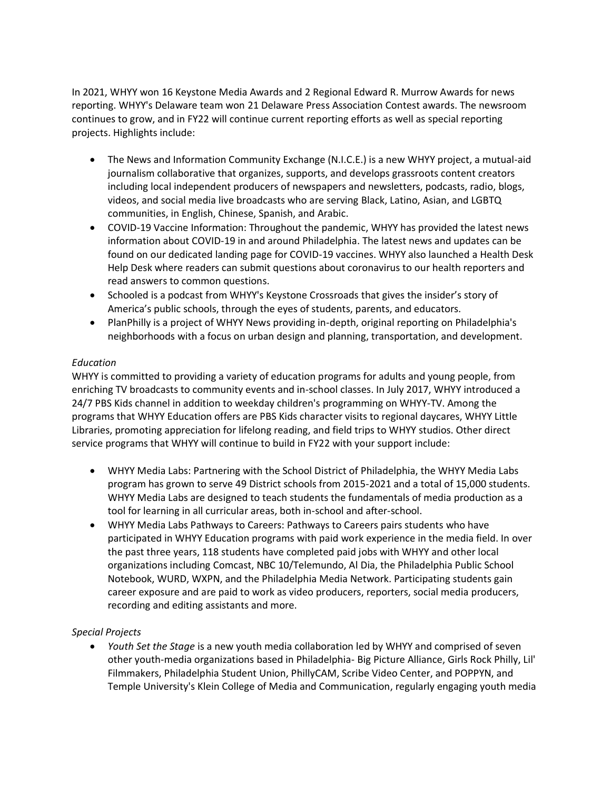In 2021, WHYY won 16 Keystone Media Awards and 2 Regional Edward R. Murrow Awards for news reporting. WHYY's Delaware team won 21 Delaware Press Association Contest awards. The newsroom continues to grow, and in FY22 will continue current reporting efforts as well as special reporting projects. Highlights include:

- The News and Information Community Exchange (N.I.C.E.) is a new WHYY project, a mutual-aid journalism collaborative that organizes, supports, and develops grassroots content creators including local independent producers of newspapers and newsletters, podcasts, radio, blogs, videos, and social media live broadcasts who are serving Black, Latino, Asian, and LGBTQ communities, in English, Chinese, Spanish, and Arabic.
- COVID-19 Vaccine Information: Throughout the pandemic, WHYY has provided the latest news information about COVID-19 in and around Philadelphia. The latest news and updates can be found on our dedicated landing page for COVID-19 vaccines. WHYY also launched a Health Desk Help Desk where readers can submit questions about coronavirus to our health reporters and read answers to common questions.
- Schooled is a podcast from WHYY's Keystone Crossroads that gives the insider's story of America's public schools, through the eyes of students, parents, and educators.
- PlanPhilly is a project of WHYY News providing in-depth, original reporting on Philadelphia's neighborhoods with a focus on urban design and planning, transportation, and development.

#### *Education*

WHYY is committed to providing a variety of education programs for adults and young people, from enriching TV broadcasts to community events and in-school classes. In July 2017, WHYY introduced a 24/7 PBS Kids channel in addition to weekday children's programming on WHYY-TV. Among the programs that WHYY Education offers are PBS Kids character visits to regional daycares, WHYY Little Libraries, promoting appreciation for lifelong reading, and field trips to WHYY studios. Other direct service programs that WHYY will continue to build in FY22 with your support include:

- WHYY Media Labs: Partnering with the School District of Philadelphia, the WHYY Media Labs program has grown to serve 49 District schools from 2015-2021 and a total of 15,000 students. WHYY Media Labs are designed to teach students the fundamentals of media production as a tool for learning in all curricular areas, both in-school and after-school.
- WHYY Media Labs Pathways to Careers: Pathways to Careers pairs students who have participated in WHYY Education programs with paid work experience in the media field. In over the past three years, 118 students have completed paid jobs with WHYY and other local organizations including Comcast, NBC 10/Telemundo, Al Dia, the Philadelphia Public School Notebook, WURD, WXPN, and the Philadelphia Media Network. Participating students gain career exposure and are paid to work as video producers, reporters, social media producers, recording and editing assistants and more.

#### *Special Projects*

• *Youth Set the Stage* is a new youth media collaboration led by WHYY and comprised of seven other youth-media organizations based in Philadelphia- Big Picture Alliance, Girls Rock Philly, Lil' Filmmakers, Philadelphia Student Union, PhillyCAM, Scribe Video Center, and POPPYN, and Temple University's Klein College of Media and Communication, regularly engaging youth media